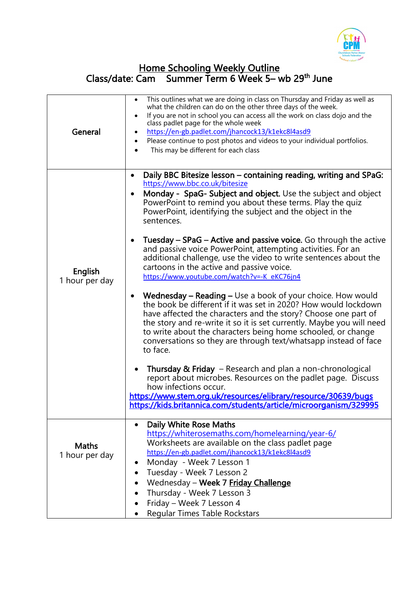

## Home Schooling Weekly Outline Class/date: Cam Summer Term 6 Week 5– wb 29<sup>th</sup> June

| General                        | This outlines what we are doing in class on Thursday and Friday as well as<br>$\bullet$<br>what the children can do on the other three days of the week.<br>If you are not in school you can access all the work on class dojo and the<br>$\bullet$<br>class padlet page for the whole week<br>https://en-gb.padlet.com/jhancock13/k1ekc8l4asd9<br>$\bullet$<br>Please continue to post photos and videos to your individual portfolios.<br>This may be different for each class                                                                                                                                                                                                                                                                                                                                                                                                                                                                                                                                                                                                                                                                                                                                                                                                     |
|--------------------------------|--------------------------------------------------------------------------------------------------------------------------------------------------------------------------------------------------------------------------------------------------------------------------------------------------------------------------------------------------------------------------------------------------------------------------------------------------------------------------------------------------------------------------------------------------------------------------------------------------------------------------------------------------------------------------------------------------------------------------------------------------------------------------------------------------------------------------------------------------------------------------------------------------------------------------------------------------------------------------------------------------------------------------------------------------------------------------------------------------------------------------------------------------------------------------------------------------------------------------------------------------------------------------------------|
| English<br>1 hour per day      | Daily BBC Bitesize lesson - containing reading, writing and SPaG:<br>$\bullet$<br>https://www.bbc.co.uk/bitesize<br>Monday - SpaG- Subject and object. Use the subject and object<br>$\bullet$<br>PowerPoint to remind you about these terms. Play the quize<br>PowerPoint, identifying the subject and the object in the<br>sentences.<br>Tuesday – SPaG – Active and passive voice. Go through the active<br>$\bullet$<br>and passive voice PowerPoint, attempting activities. For an<br>additional challenge, use the video to write sentences about the<br>cartoons in the active and passive voice.<br>https://www.youtube.com/watch?v=-K eKC76jn4<br><b>Wednesday – Reading – Use a book of your choice. How would</b><br>$\bullet$<br>the book be different if it was set in 2020? How would lockdown<br>have affected the characters and the story? Choose one part of<br>the story and re-write it so it is set currently. Maybe you will need<br>to write about the characters being home schooled, or change<br>conversations so they are through text/whatsapp instead of face<br>to face.<br><b>Thursday &amp; Friday</b> – Research and plan a non-chronological<br>$\bullet$<br>report about microbes. Resources on the padlet page. Discuss<br>how infections occur. |
|                                | https://www.stem.org.uk/resources/elibrary/resource/30639/bugs<br>https://kids.britannica.com/students/article/microorganism/329995                                                                                                                                                                                                                                                                                                                                                                                                                                                                                                                                                                                                                                                                                                                                                                                                                                                                                                                                                                                                                                                                                                                                                  |
| <b>Maths</b><br>1 hour per day | Daily White Rose Maths<br>$\bullet$<br>https://whiterosemaths.com/homelearning/year-6/<br>Worksheets are available on the class padlet page<br>https://en-gb.padlet.com/jhancock13/k1ekc8l4asd9<br>Monday - Week 7 Lesson 1<br>Tuesday - Week 7 Lesson 2<br>Wednesday - Week 7 Friday Challenge<br>Thursday - Week 7 Lesson 3<br>Friday - Week 7 Lesson 4<br>Regular Times Table Rockstars                                                                                                                                                                                                                                                                                                                                                                                                                                                                                                                                                                                                                                                                                                                                                                                                                                                                                           |